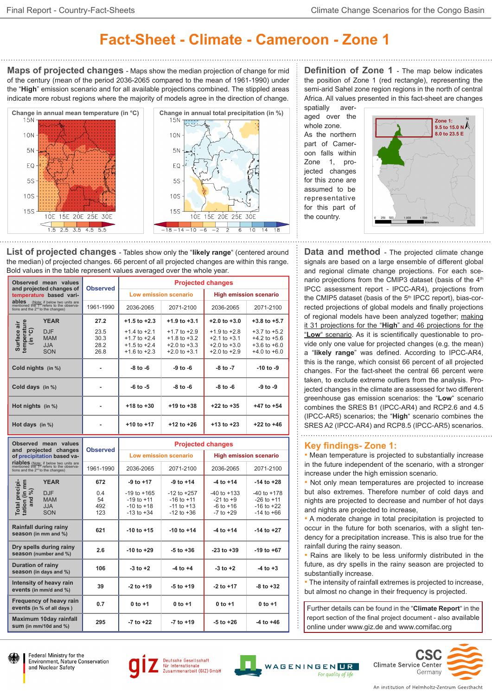## **Fact-Sheet - Climate - Cameroon - Zone 1**

**Maps of projected changes** - Maps show the median projection of change for mid of the century (mean of the period 2036-2065 compared to the mean of 1961-1990) under the "**High**" emission scenario and for all available projections combined. The stippled areas indicate more robust regions where the majority of models agree in the direction of change.



**List of projected changes** - Tables show only the "**likely range**" (centered around the median) of projected changes. 66 percent of all projected changes are within this range. Bold values in the table represent values averaged over the whole year.

| Observed mean values<br>and projected changes of<br>temperature based vari-<br>ables<br>(Note: if below two units are<br>mentioned the 1 <sup>st</sup> refers to the observa-<br>tions and the 2 <sup>nd</sup> to the changes) |                                                      | <b>Observed</b>              | <b>Projected changes</b>                                                     |                                                                              |                                                                              |                                                                              |  |
|--------------------------------------------------------------------------------------------------------------------------------------------------------------------------------------------------------------------------------|------------------------------------------------------|------------------------------|------------------------------------------------------------------------------|------------------------------------------------------------------------------|------------------------------------------------------------------------------|------------------------------------------------------------------------------|--|
|                                                                                                                                                                                                                                |                                                      |                              | Low emission scenario                                                        |                                                                              | <b>High emission scenario</b>                                                |                                                                              |  |
|                                                                                                                                                                                                                                |                                                      | 1961-1990                    | 2036-2065                                                                    | 2071-2100                                                                    | 2036-2065                                                                    | 2071-2100                                                                    |  |
|                                                                                                                                                                                                                                | <b>YEAR</b>                                          | 27.2                         | $+1.5$ to $+2.3$                                                             | $+1.9$ to $+3.1$                                                             | $+2.0$ to $+3.0$                                                             | $+3.8$ to $+5.7$                                                             |  |
| Surface air<br>temperature<br>(in °C)                                                                                                                                                                                          | <b>DJF</b><br><b>MAM</b><br><b>JJA</b><br><b>SON</b> | 23.5<br>30.3<br>28.2<br>26.8 | $+1.4$ to $+2.1$<br>$+1.7$ to $+2.4$<br>$+1.5$ to $+2.4$<br>$+1.6$ to $+2.3$ | $+1.7$ to $+2.9$<br>$+1.8$ to $+3.2$<br>$+2.0$ to $+3.3$<br>$+2.0$ to $+3.1$ | $+1.9$ to $+2.8$<br>$+2.1$ to $+3.1$<br>$+2.0$ to $+3.0$<br>$+2.0$ to $+2.9$ | $+3.7$ to $+5.2$<br>$+4.2$ to $+5.6$<br>$+3.6$ to $+6.0$<br>$+4.0$ to $+6.0$ |  |
| Cold nights (in %)                                                                                                                                                                                                             |                                                      |                              | $-8$ to $-6$                                                                 | -9 to -6                                                                     | $-8$ to $-7$                                                                 | $-10$ to $-9$                                                                |  |
| Cold days (in %)                                                                                                                                                                                                               |                                                      |                              | $-6$ to $-5$                                                                 | $-8$ to $-6$                                                                 | $-8$ to $-6$                                                                 | $-9$ to $-9$                                                                 |  |
| Hot nights $(in %)$                                                                                                                                                                                                            |                                                      |                              | $+18$ to $+30$                                                               | $+19$ to $+38$                                                               | $+22$ to $+35$                                                               | +47 to +54                                                                   |  |
| Hot days $(in %)$                                                                                                                                                                                                              |                                                      |                              | $+10$ to $+17$                                                               | $+12$ to $+26$                                                               | $+13$ to $+23$                                                               | $+22$ to $+46$                                                               |  |

| Observed mean values                                                                                                                    | <b>Observed</b>         | <b>Projected changes</b>                                              |                                                                       |                                                                    |                                                                       |  |
|-----------------------------------------------------------------------------------------------------------------------------------------|-------------------------|-----------------------------------------------------------------------|-----------------------------------------------------------------------|--------------------------------------------------------------------|-----------------------------------------------------------------------|--|
| and projected changes<br>of precipitation based va-                                                                                     |                         | Low emission scenario                                                 |                                                                       | <b>High emission scenario</b>                                      |                                                                       |  |
| <b>riables</b> (Note: if below two units are<br>mentioned the $1^{st}$ refers to the observa-<br>tions and the $2^{nd}$ to the changes) | 1961-1990               | 2036-2065                                                             | 2071-2100                                                             | 2036-2065                                                          | 2071-2100                                                             |  |
| <b>YEAR</b>                                                                                                                             | 672                     | $-9$ to $+17$                                                         | $-9$ to $+14$                                                         | $-4$ to $+14$                                                      | $-14$ to $+28$                                                        |  |
| Total precipi-<br>tation (in mm<br>and %)<br><b>DJF</b><br><b>MAM</b><br><b>ALL</b><br><b>SON</b>                                       | 0.4<br>54<br>492<br>123 | $-19$ to $+165$<br>$-19$ to $+11$<br>$-10$ to $+18$<br>$-13$ to $+34$ | $-12$ to $+257$<br>$-16$ to $+11$<br>$-11$ to $+13$<br>$-12$ to $+36$ | $-40$ to $+133$<br>$-21$ to $+9$<br>$-6$ to $+16$<br>$-7$ to $+29$ | $-40$ to $+178$<br>$-26$ to $+11$<br>$-16$ to $+22$<br>$-14$ to $+66$ |  |
| Rainfall during rainy<br>season (in mm and %)                                                                                           | 621                     | $-10$ to $+15$                                                        | $-10$ to $+14$                                                        | $-4$ to $+14$                                                      | $-14$ to $+27$                                                        |  |
| Dry spells during rainy<br>season (number and %)                                                                                        | 2.6                     | $-10$ to $+29$                                                        | $-5$ to $+36$                                                         | $-23$ to $+39$                                                     | $-19$ to $+67$                                                        |  |
| Duration of rainy<br>season (in days and %)                                                                                             | 106                     | $-3$ to $+2$                                                          | $-4$ to $+4$                                                          | $-3$ to $+2$                                                       | $-4$ to $+3$                                                          |  |
| Intensity of heavy rain<br>events (in mm/d and %)                                                                                       | 39                      | $-2$ to $+19$                                                         | $-5$ to $+19$                                                         | $-2$ to $+17$                                                      | $-8$ to $+32$                                                         |  |
| Frequency of heavy rain<br>events (in % of all days)                                                                                    | 0.7                     | $0$ to $+1$                                                           | $0$ to $+1$                                                           | $0$ to $+1$                                                        | $0$ to $+1$                                                           |  |
| Maximum 10day rainfall<br>sum (in $mm/10d$ and $%$ )                                                                                    | 295                     | $-7$ to $+22$                                                         | $-7$ to $+19$                                                         | $-5$ to $+26$                                                      | $-4$ to $+46$                                                         |  |

**Definition of Zone 1** - The map below indicates the position of Zone 1 (red rectangle), representing the semi-arid Sahel zone region regions in the north of central Africa. All values presented in this fact-sheet are changes spatially aver-

aged over the whole zone. As the northern part of Cameroon falls within Zone 1, projected changes for this zone are assumed to be representative for this part of the country.



**Data and method** - The projected climate change signals are based on a large ensemble of different global and regional climate change projections. For each scenario projections from the CMIP3 dataset (basis of the 4<sup>th</sup> IPCC assessment report - IPCC-AR4), projections from the CMIP5 dataset (basis of the 5<sup>th</sup> IPCC report), bias-corrected projections of global models and finally projections of regional models have been analyzed together; making it 31 projections for the "**High**" and 46 projections for the "**Low**" scenario. As it is scientifically questionable to provide only one value for projected changes (e.g. the mean) a "**likely range**" was defined. According to IPCC-AR4, this is the range, which consist 66 percent of all projected changes. For the fact-sheet the central 66 percent were taken, to exclude extreme outliers from the analysis. Projected changes in the climate are assessed for two different greenhouse gas emission scenarios: the "**Low**" scenario combines the SRES B1 (IPCC-AR4) and RCP2.6 and 4.5 (IPCC-AR5) scenarios; the "**High**" scenario combines the SRES A2 (IPCC-AR4) and RCP8.5 (IPCC-AR5) scenarios.

## **Key findings- Zone 1:**

• Mean temperature is projected to substantially increase in the future independent of the scenario, with a stronger increase under the high emission scenario.

• Not only mean temperatures are projected to increase but also extremes. Therefore number of cold days and nights are projected to decrease and number of hot days and nights are projected to increase,

• A moderate change in total precipitation is projected to occur in the future for both scenarios, with a slight tendency for a precipitation increase. This is also true for the rainfall during the rainy season.

• Rains are likely to be less uniformly distributed in the future, as dry spells in the rainy season are projected to substantially increase.

• The intensity of rainfall extremes is projected to increase, but almost no change in their frequency is projected.

Further details can be found in the "**Climate Report**" in the report section of the final project document - also available online under www.giz.de and www.comifac.org











**Climate Service Center** WAGENINGEN**ne** For auality of lit



**CSC**